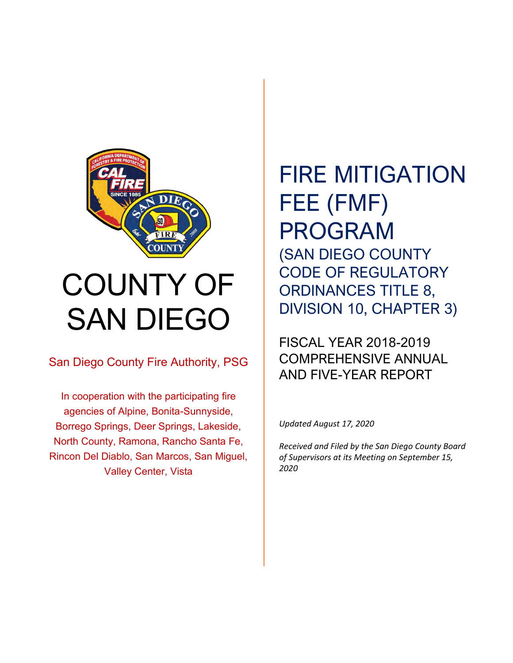

# COUNTY OF SAN DIEGO

San Diego County Fire Authority, PSG

In cooperation with the participating fire agencies of Alpine, Bonita-Sunnyside, Borrego Springs, Deer Springs, Lakeside, North County, Ramona, Rancho Santa Fe, Rincon Del Diablo, San Marcos, San Miguel, Valley Center, Vista

# FIRE MITIGATION FEE (FMF) PROGRAM (SAN DIEGO COUNTY CODE OF REGULATORY ORDINANCES TITLE 8, DIVISION 10, CHAPTER 3)

#### FISCAL YEAR 2018-2019 COMPREHENSIVE ANNUAL AND FIVE-YEAR REPORT

*Updated August 17, 2020*

*Received and Filed by the San Diego County Board of Supervisors at its Meeting on September 15, 2020*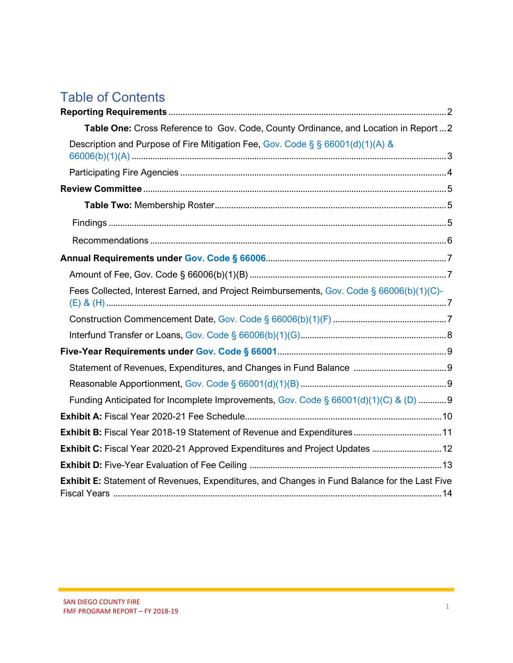#### Table of Contents

| Table One: Cross Reference to Gov. Code, County Ordinance, and Location in Report  2          |
|-----------------------------------------------------------------------------------------------|
| Description and Purpose of Fire Mitigation Fee, Gov. Code § § 66001(d)(1)(A) &                |
|                                                                                               |
|                                                                                               |
|                                                                                               |
|                                                                                               |
|                                                                                               |
|                                                                                               |
|                                                                                               |
| Fees Collected, Interest Earned, and Project Reimbursements, Gov. Code § 66006(b)(1)(C)-      |
|                                                                                               |
|                                                                                               |
|                                                                                               |
|                                                                                               |
|                                                                                               |
| Funding Anticipated for Incomplete Improvements, Gov. Code § 66001(d)(1)(C) & (D)  9          |
|                                                                                               |
|                                                                                               |
| Exhibit C: Fiscal Year 2020-21 Approved Expenditures and Project Updates  12                  |
|                                                                                               |
| Exhibit E: Statement of Revenues, Expenditures, and Changes in Fund Balance for the Last Five |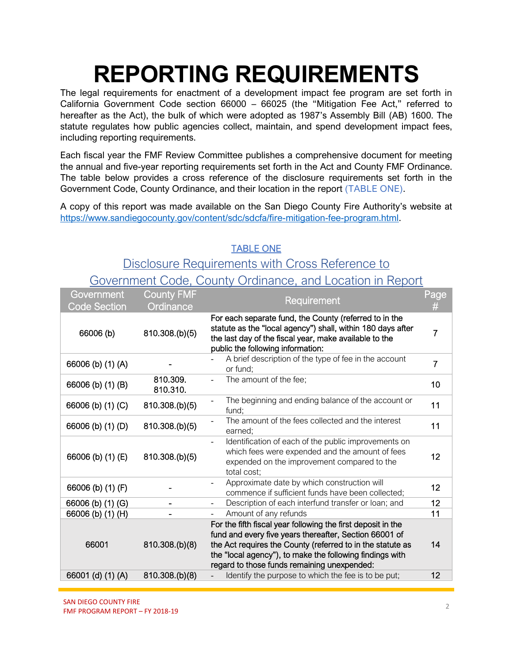# **REPORTING REQUIREMENTS**

The legal requirements for enactment of a development impact fee program are set forth in California Government Code section 66000 – 66025 (the "Mitigation Fee Act," referred to hereafter as the Act), the bulk of which were adopted as 1987's Assembly Bill (AB) 1600. The statute regulates how public agencies collect, maintain, and spend development impact fees, including reporting requirements.

Each fiscal year the FMF Review Committee publishes a comprehensive document for meeting the annual and five-year reporting requirements set forth in the Act and County FMF Ordinance. The table below provides a cross reference of the disclosure requirements set forth in the Government Code, County Ordinance, and their location in the report (TABLE ONE).

A copy of this report was made available on the San Diego County Fire Authority's website at [https://www.sandiegocounty.gov/content/sdc/sdcfa/fire-mitigation-fee-program.html.](https://www.sandiegocounty.gov/content/sdc/sdcfa/fire-mitigation-fee-program.html)

#### TABLE ONE

#### Disclosure Requirements with Cross Reference to Government Code, County Ordinance, and Location in Report

| Government<br><b>Code Section</b> | <b>County FMF</b><br>Ordinance | <b>Requirement</b>                                                                                                                                                                                                                                                                              | Page<br>#      |
|-----------------------------------|--------------------------------|-------------------------------------------------------------------------------------------------------------------------------------------------------------------------------------------------------------------------------------------------------------------------------------------------|----------------|
| 66006 (b)                         | 810.308.(b)(5)                 | For each separate fund, the County (referred to in the<br>statute as the "local agency") shall, within 180 days after<br>the last day of the fiscal year, make available to the<br>public the following information:                                                                            | $\overline{7}$ |
| 66006 (b) (1) (A)                 |                                | A brief description of the type of fee in the account<br>or fund;                                                                                                                                                                                                                               | $\overline{7}$ |
| 66006 (b) (1) (B)                 | 810.309.<br>810.310.           | The amount of the fee;                                                                                                                                                                                                                                                                          | 10             |
| 66006 (b) (1) (C)                 | 810.308.(b)(5)                 | The beginning and ending balance of the account or<br>fund;                                                                                                                                                                                                                                     | 11             |
| 66006 (b) (1) (D)                 | 810.308.(b)(5)                 | The amount of the fees collected and the interest<br>earned;                                                                                                                                                                                                                                    | 11             |
| 66006 (b) (1) (E)                 | 810.308.(b)(5)                 | Identification of each of the public improvements on<br>which fees were expended and the amount of fees<br>expended on the improvement compared to the<br>total cost;                                                                                                                           | 12             |
| 66006 (b) (1) (F)                 |                                | Approximate date by which construction will<br>commence if sufficient funds have been collected;                                                                                                                                                                                                | 12             |
| 66006 (b) (1) (G)                 |                                | Description of each interfund transfer or loan; and                                                                                                                                                                                                                                             | 12             |
| 66006 (b) (1) (H)                 |                                | Amount of any refunds                                                                                                                                                                                                                                                                           | 11             |
| 66001                             | 810.308.(b)(8)                 | For the fifth fiscal year following the first deposit in the<br>fund and every five years thereafter, Section 66001 of<br>the Act requires the County (referred to in the statute as<br>the "local agency"), to make the following findings with<br>regard to those funds remaining unexpended: | 14             |
| 66001 (d) (1) (A)                 | 810.308.(b)(8)                 | Identify the purpose to which the fee is to be put;                                                                                                                                                                                                                                             | 12             |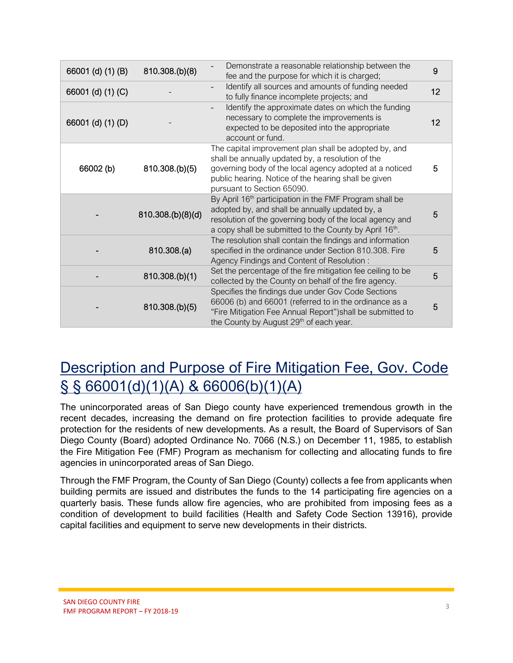| 66001 (d) (1) (B) | 810.308.(b)(8)    | Demonstrate a reasonable relationship between the<br>fee and the purpose for which it is charged;                                                                                                                                                           | 9  |
|-------------------|-------------------|-------------------------------------------------------------------------------------------------------------------------------------------------------------------------------------------------------------------------------------------------------------|----|
| 66001 (d) (1) (C) |                   | Identify all sources and amounts of funding needed<br>to fully finance incomplete projects; and                                                                                                                                                             | 12 |
| 66001 (d) (1) (D) |                   | Identify the approximate dates on which the funding<br>necessary to complete the improvements is<br>expected to be deposited into the appropriate<br>account or fund.                                                                                       | 12 |
| 66002 (b)         | 810.308.(b)(5)    | The capital improvement plan shall be adopted by, and<br>shall be annually updated by, a resolution of the<br>governing body of the local agency adopted at a noticed<br>public hearing. Notice of the hearing shall be given<br>pursuant to Section 65090. | 5  |
|                   | 810.308.(b)(8)(d) | By April 16 <sup>th</sup> participation in the FMF Program shall be<br>adopted by, and shall be annually updated by, a<br>resolution of the governing body of the local agency and<br>a copy shall be submitted to the County by April 16th.                | 5  |
|                   | 810.308.(a)       | The resolution shall contain the findings and information<br>specified in the ordinance under Section 810.308. Fire<br>Agency Findings and Content of Resolution:                                                                                           | 5  |
|                   | 810.308.(b)(1)    | Set the percentage of the fire mitigation fee ceiling to be<br>collected by the County on behalf of the fire agency.                                                                                                                                        | 5  |
|                   | 810.308.(b)(5)    | Specifies the findings due under Gov Code Sections<br>66006 (b) and 66001 (referred to in the ordinance as a<br>"Fire Mitigation Fee Annual Report") shall be submitted to<br>the County by August 29 <sup>th</sup> of each year.                           | 5  |

### Description and Purpose of Fire Mitigation Fee, Gov. Code  $\S$  § 66001(d)(1)(A) & 66006(b)(1)(A)

The unincorporated areas of San Diego county have experienced tremendous growth in the recent decades, increasing the demand on fire protection facilities to provide adequate fire protection for the residents of new developments. As a result, the Board of Supervisors of San Diego County (Board) adopted Ordinance No. 7066 (N.S.) on December 11, 1985, to establish the Fire Mitigation Fee (FMF) Program as mechanism for collecting and allocating funds to fire agencies in unincorporated areas of San Diego.

Through the FMF Program, the County of San Diego (County) collects a fee from applicants when building permits are issued and distributes the funds to the 14 participating fire agencies on a quarterly basis. These funds allow fire agencies, who are prohibited from imposing fees as a condition of development to build facilities (Health and Safety Code Section 13916), provide capital facilities and equipment to serve new developments in their districts.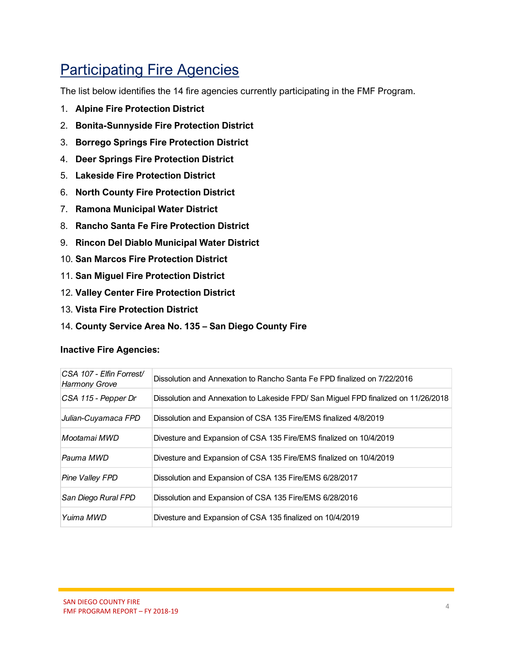### **Participating Fire Agencies**

The list below identifies the 14 fire agencies currently participating in the FMF Program.

- 1. **Alpine Fire Protection District**
- 2. **Bonita-Sunnyside Fire Protection District**
- 3. **Borrego Springs Fire Protection District**
- 4. **Deer Springs Fire Protection District**
- 5. **Lakeside Fire Protection District**
- 6. **North County Fire Protection District**
- 7. **Ramona Municipal Water District**
- 8. **Rancho Santa Fe Fire Protection District**
- 9. **Rincon Del Diablo Municipal Water District**
- 10. **San Marcos Fire Protection District**
- 11. **San Miguel Fire Protection District**
- 12. **Valley Center Fire Protection District**
- 13. **Vista Fire Protection District**
- 14. **County Service Area No. 135 – San Diego County Fire**

#### **Inactive Fire Agencies:**

| CSA 107 - Elfin Forrest/<br><b>Harmony Grove</b> | Dissolution and Annexation to Rancho Santa Fe FPD finalized on 7/22/2016           |
|--------------------------------------------------|------------------------------------------------------------------------------------|
| CSA 115 - Pepper Dr                              | Dissolution and Annexation to Lakeside FPD/ San Miguel FPD finalized on 11/26/2018 |
| Julian-Cuyamaca FPD                              | Dissolution and Expansion of CSA 135 Fire/EMS finalized 4/8/2019                   |
| Mootamai MWD                                     | Divesture and Expansion of CSA 135 Fire/EMS finalized on 10/4/2019                 |
| Pauma MWD                                        | Divesture and Expansion of CSA 135 Fire/EMS finalized on 10/4/2019                 |
| <b>Pine Valley FPD</b>                           | Dissolution and Expansion of CSA 135 Fire/EMS 6/28/2017                            |
| San Diego Rural FPD                              | Dissolution and Expansion of CSA 135 Fire/EMS 6/28/2016                            |
| Yuima MWD                                        | Divesture and Expansion of CSA 135 finalized on 10/4/2019                          |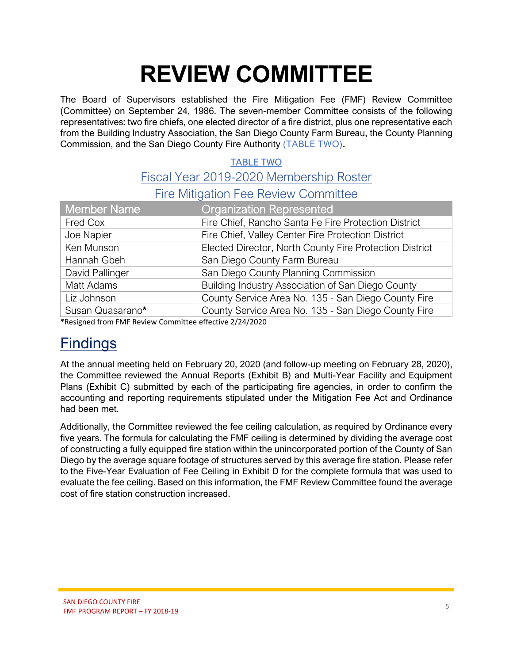# **REVIEW COMMITTEE**

The Board of Supervisors established the Fire Mitigation Fee (FMF) Review Committee (Committee) on September 24, 1986. The seven-member Committee consists of the following representatives: two fire chiefs, one elected director of a fire district, plus one representative each from the Building Industry Association, the San Diego County Farm Bureau, the County Planning Commission, and the San Diego County Fire Authority (TABLE TWO)**.**

#### TABLE TWO Fiscal Year 2019-2020 Membership Roster

Fire Mitigation Fee Review Committee

| Member Name      | <b>Organization Represented</b>                         |
|------------------|---------------------------------------------------------|
| Fred Cox         | Fire Chief, Rancho Santa Fe Fire Protection District    |
| Joe Napier       | Fire Chief, Valley Center Fire Protection District      |
| Ken Munson       | Elected Director, North County Fire Protection District |
| Hannah Gbeh      | San Diego County Farm Bureau                            |
| David Pallinger  | San Diego County Planning Commission                    |
| Matt Adams       | Building Industry Association of San Diego County       |
| Liz Johnson      | County Service Area No. 135 - San Diego County Fire     |
| Susan Quasarano* | County Service Area No. 135 - San Diego County Fire     |

**\***Resigned from FMF Review Committee effective 2/24/2020

#### **Findings**

At the annual meeting held on February 20, 2020 (and follow-up meeting on February 28, 2020), the Committee reviewed the Annual Reports (Exhibit B) and Multi-Year Facility and Equipment Plans (Exhibit C) submitted by each of the participating fire agencies, in order to confirm the accounting and reporting requirements stipulated under the Mitigation Fee Act and Ordinance had been met.

Additionally, the Committee reviewed the fee ceiling calculation, as required by Ordinance every five years. The formula for calculating the FMF ceiling is determined by dividing the average cost of constructing a fully equipped fire station within the unincorporated portion of the County of San Diego by the average square footage of structures served by this average fire station. Please refer to the Five-Year Evaluation of Fee Ceiling in Exhibit D for the complete formula that was used to evaluate the fee ceiling. Based on this information, the FMF Review Committee found the average cost of fire station construction increased.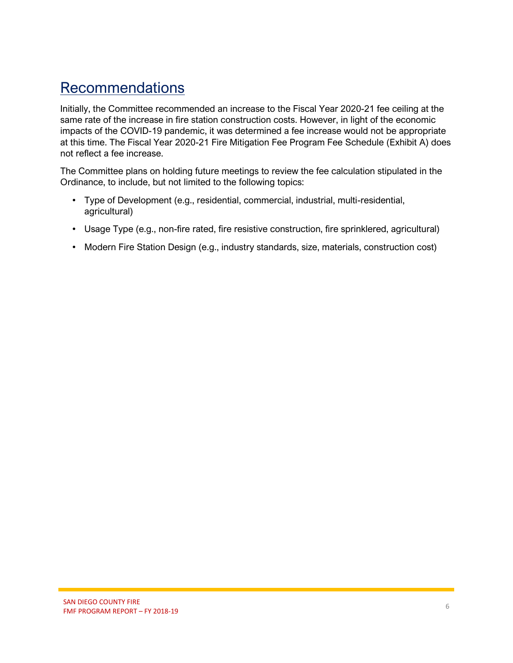#### **Recommendations**

Initially, the Committee recommended an increase to the Fiscal Year 2020-21 fee ceiling at the same rate of the increase in fire station construction costs. However, in light of the economic impacts of the COVID-19 pandemic, it was determined a fee increase would not be appropriate at this time. The Fiscal Year 2020-21 Fire Mitigation Fee Program Fee Schedule (Exhibit A) does not reflect a fee increase.

The Committee plans on holding future meetings to review the fee calculation stipulated in the Ordinance, to include, but not limited to the following topics:

- Type of Development (e.g., residential, commercial, industrial, multi-residential, agricultural)
- Usage Type (e.g., non-fire rated, fire resistive construction, fire sprinklered, agricultural)
- Modern Fire Station Design (e.g., industry standards, size, materials, construction cost)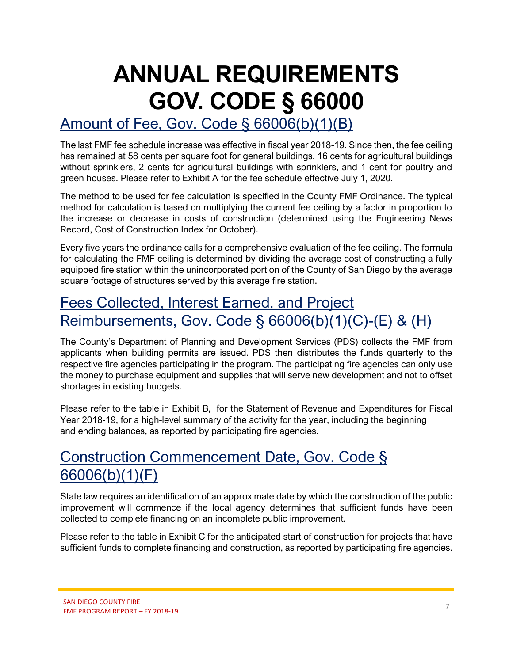# **ANNUAL REQUIREMENTS GOV. CODE § 66000**

#### Amount of Fee, Gov. Code § 66006(b)(1)(B)

The last FMF fee schedule increase was effective in fiscal year 2018-19. Since then, the fee ceiling has remained at 58 cents per square foot for general buildings, 16 cents for agricultural buildings without sprinklers, 2 cents for agricultural buildings with sprinklers, and 1 cent for poultry and green houses. Please refer to Exhibit A for the fee schedule effective July 1, 2020.

The method to be used for fee calculation is specified in the County FMF Ordinance. The typical method for calculation is based on multiplying the current fee ceiling by a factor in proportion to the increase or decrease in costs of construction (determined using the Engineering News Record, Cost of Construction Index for October).

Every five years the ordinance calls for a comprehensive evaluation of the fee ceiling. The formula for calculating the FMF ceiling is determined by dividing the average cost of constructing a fully equipped fire station within the unincorporated portion of the County of San Diego by the average square footage of structures served by this average fire station.

#### Fees Collected, Interest Earned, and Project Reimbursements, Gov. Code § 66006(b)(1)(C)-(E) & (H)

The County's Department of Planning and Development Services (PDS) collects the FMF from applicants when building permits are issued. PDS then distributes the funds quarterly to the respective fire agencies participating in the program. The participating fire agencies can only use the money to purchase equipment and supplies that will serve new development and not to offset shortages in existing budgets.

Please refer to the table in Exhibit B, for the Statement of Revenue and Expenditures for Fiscal Year 2018-19, for a high-level summary of the activity for the year, including the beginning and ending balances, as reported by participating fire agencies.

#### Construction Commencement Date, Gov. Code § 66006(b)(1)(F)

State law requires an identification of an approximate date by which the construction of the public improvement will commence if the local agency determines that sufficient funds have been collected to complete financing on an incomplete public improvement.

Please refer to the table in Exhibit C for the anticipated start of construction for projects that have sufficient funds to complete financing and construction, as reported by participating fire agencies.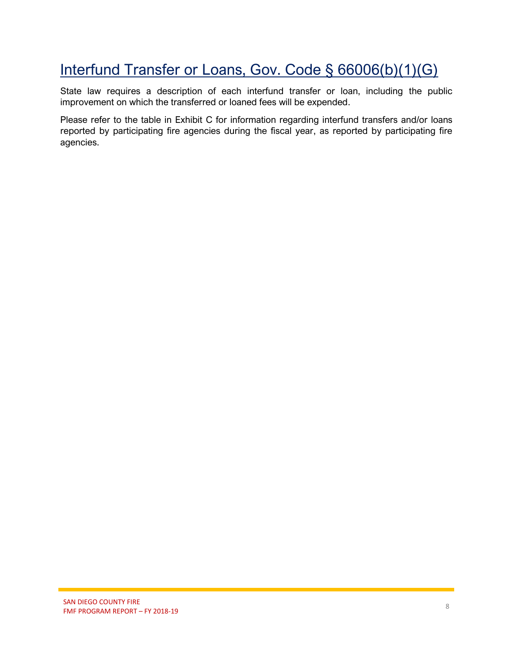### Interfund Transfer or Loans, Gov. Code § 66006(b)(1)(G)

State law requires a description of each interfund transfer or loan, including the public improvement on which the transferred or loaned fees will be expended.

Please refer to the table in Exhibit C for information regarding interfund transfers and/or loans reported by participating fire agencies during the fiscal year, as reported by participating fire agencies.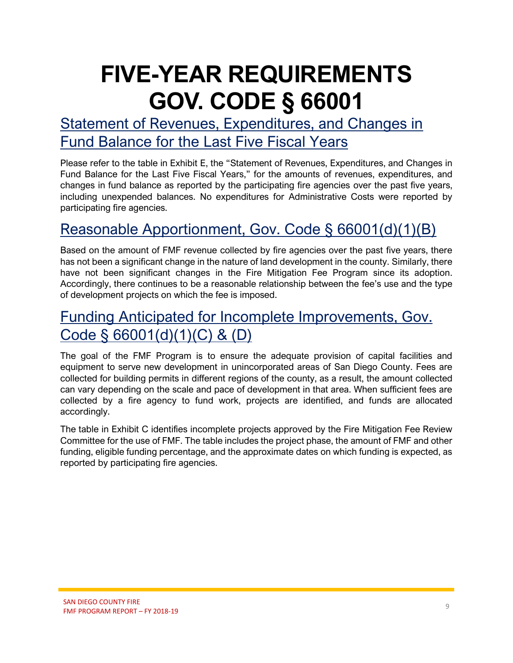# **FIVE-YEAR REQUIREMENTS GOV. CODE § 66001**

#### Statement of Revenues, Expenditures, and Changes in Fund Balance for the Last Five Fiscal Years

Please refer to the table in Exhibit E, the "Statement of Revenues, Expenditures, and Changes in Fund Balance for the Last Five Fiscal Years," for the amounts of revenues, expenditures, and changes in fund balance as reported by the participating fire agencies over the past five years, including unexpended balances. No expenditures for Administrative Costs were reported by participating fire agencies.

### Reasonable Apportionment, Gov. Code § 66001(d)(1)(B)

Based on the amount of FMF revenue collected by fire agencies over the past five years, there has not been a significant change in the nature of land development in the county. Similarly, there have not been significant changes in the Fire Mitigation Fee Program since its adoption. Accordingly, there continues to be a reasonable relationship between the fee's use and the type of development projects on which the fee is imposed.

#### Funding Anticipated for Incomplete Improvements, Gov. Code § 66001(d)(1)(C) & (D)

The goal of the FMF Program is to ensure the adequate provision of capital facilities and equipment to serve new development in unincorporated areas of San Diego County. Fees are collected for building permits in different regions of the county, as a result, the amount collected can vary depending on the scale and pace of development in that area. When sufficient fees are collected by a fire agency to fund work, projects are identified, and funds are allocated accordingly.

The table in Exhibit C identifies incomplete projects approved by the Fire Mitigation Fee Review Committee for the use of FMF. The table includes the project phase, the amount of FMF and other funding, eligible funding percentage, and the approximate dates on which funding is expected, as reported by participating fire agencies.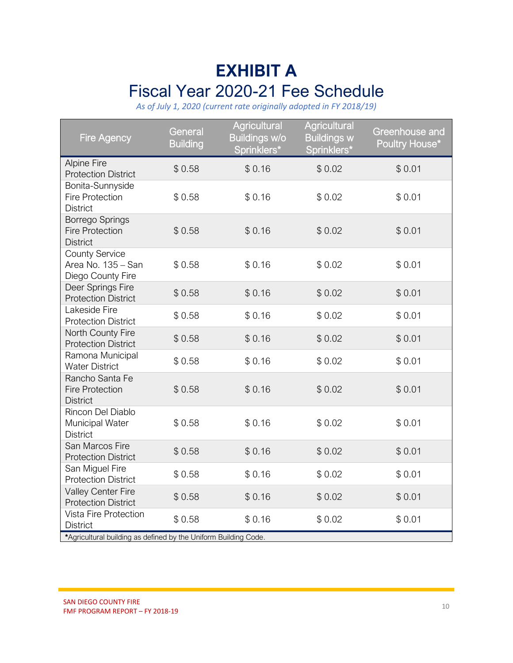## **EXHIBIT A** Fiscal Year 2020-21 Fee Schedule

*As of July 1, 2020 (current rate originally adopted in FY 2018/19)*

| <b>Fire Agency</b>                                                                                          | General<br><b>Building</b> | Agricultural<br><b>Buildings w/o</b><br>Sprinklers* | Agricultural<br><b>Buildings w</b><br>Sprinklers* | Greenhouse and<br>Poultry House* |
|-------------------------------------------------------------------------------------------------------------|----------------------------|-----------------------------------------------------|---------------------------------------------------|----------------------------------|
| <b>Alpine Fire</b><br><b>Protection District</b>                                                            | \$0.58                     | \$0.16                                              | \$0.02                                            | \$0.01                           |
| Bonita-Sunnyside<br><b>Fire Protection</b><br><b>District</b>                                               | \$0.58                     | \$0.16                                              | \$0.02                                            | \$0.01                           |
| Borrego Springs<br><b>Fire Protection</b><br><b>District</b>                                                | \$0.58                     | \$0.16                                              | \$0.02                                            | \$0.01                           |
| <b>County Service</b><br>Area No. 135 - San<br>Diego County Fire                                            | \$0.58                     | \$0.16                                              | \$0.02                                            | \$0.01                           |
| Deer Springs Fire<br><b>Protection District</b>                                                             | \$0.58                     | \$0.16                                              | \$0.02                                            | \$0.01                           |
| Lakeside Fire<br><b>Protection District</b>                                                                 | \$0.58                     | \$0.16                                              | \$0.02                                            | \$0.01                           |
| North County Fire<br><b>Protection District</b>                                                             | \$0.58                     | \$0.16                                              | \$0.02                                            | \$0.01                           |
| Ramona Municipal<br><b>Water District</b>                                                                   | \$0.58                     | \$0.16                                              | \$0.02                                            | \$0.01                           |
| Rancho Santa Fe<br><b>Fire Protection</b><br><b>District</b>                                                | \$0.58                     | \$0.16                                              | \$0.02                                            | \$0.01                           |
| Rincon Del Diablo<br>Municipal Water<br><b>District</b>                                                     | \$0.58                     | \$0.16                                              | \$0.02                                            | \$0.01                           |
| San Marcos Fire<br><b>Protection District</b>                                                               | \$0.58                     | \$0.16                                              | \$0.02                                            | \$0.01                           |
| San Miguel Fire<br><b>Protection District</b>                                                               | \$0.58                     | \$0.16                                              | \$0.02                                            | \$0.01                           |
| Valley Center Fire<br><b>Protection District</b>                                                            | \$0.58                     | \$0.16                                              | \$0.02                                            | \$0.01                           |
| Vista Fire Protection<br><b>District</b><br>*Agricultural building as defined by the Uniform Building Code. | \$0.58                     | \$0.16                                              | \$0.02                                            | \$0.01                           |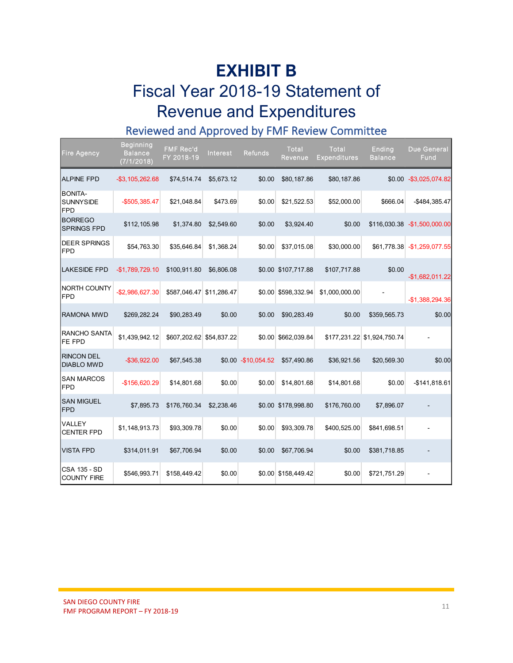# **EXHIBIT B** Fiscal Year 2018-19 Statement of Revenue and Expenditures

#### Reviewed and Approved by FMF Review Committee

| <b>Fire Agency</b>                               | <b>Beginning</b><br><b>Balance</b><br>(7/1/2018) | <b>FMF Rec'd</b><br>FY 2018-19 | <b>Interest</b> | <b>Refunds</b>       | Total<br>Revenue      | <b>Total</b><br>Expenditures | Ending<br><b>Balance</b>    | <b>Due General</b><br>Fund    |
|--------------------------------------------------|--------------------------------------------------|--------------------------------|-----------------|----------------------|-----------------------|------------------------------|-----------------------------|-------------------------------|
| <b>ALPINE FPD</b>                                | $-$ \$3,105,262.68                               | \$74,514.74                    | \$5,673.12      | \$0.00               | \$80,187.86           | \$80,187.86                  |                             | \$0.00 - \$3,025,074.82       |
| <b>BONITA-</b><br><b>SUNNYSIDE</b><br><b>FPD</b> | $-$505,385.47$                                   | \$21,048.84                    | \$473.69        | \$0.00               | \$21,522.53           | \$52,000.00                  | \$666.04                    | -\$484,385.47                 |
| <b>BORREGO</b><br>SPRINGS FPD                    | \$112,105.98                                     | \$1,374.80                     | \$2,549.60      | \$0.00               | \$3,924.40            | \$0.00                       |                             | \$116,030.38 - \$1,500,000.00 |
| <b>DEER SPRINGS</b><br><b>FPD</b>                | \$54,763.30                                      | \$35,646.84                    | \$1,368.24      | \$0.00               | \$37,015.08           | \$30,000.00                  | \$61,778.38                 | $-$1,259,077.55$              |
| <b>LAKESIDE FPD</b>                              | $-$1,789,729.10$                                 | \$100,911.80                   | \$6,806.08      |                      | \$0.00 \$107,717.88   | \$107,717.88                 | \$0.00                      | $-$1,682,011.22$              |
| NORTH COUNTY<br><b>FPD</b>                       | -\$2,986,627.30                                  | \$587,046.47                   | \$11,286.47     |                      | \$0.00 \$598,332.94   | \$1,000,000.00               |                             | $-$1,388,294.36$              |
| <b>RAMONA MWD</b>                                | \$269,282.24                                     | \$90,283.49                    | \$0.00          | \$0.00               | \$90,283.49           | \$0.00                       | \$359,565.73                | \$0.00                        |
| RANCHO SANTA<br>FE FPD                           | \$1,439,942.12                                   | \$607,202.62 \$54,837.22       |                 |                      | \$0.00 \$662,039.84   |                              | \$177,231.22 \$1,924,750.74 |                               |
| <b>RINCON DEL</b><br><b>DIABLO MWD</b>           | $-$ \$36,922.00                                  | \$67,545.38                    |                 | \$0.00 - \$10,054.52 | \$57,490.86           | \$36,921.56                  | \$20,569.30                 | \$0.00                        |
| <b>SAN MARCOS</b><br>FPD                         | -\$156,620.29                                    | \$14,801.68                    | \$0.00          | \$0.00               | \$14,801.68           | \$14,801.68                  | \$0.00                      | $-$141,818.61$                |
| <b>SAN MIGUEL</b><br><b>FPD</b>                  | \$7,895.73                                       | \$176,760.34                   | \$2,238.46      |                      | \$0.00 \$178,998.80   | \$176,760.00                 | \$7,896.07                  |                               |
| VALLEY<br><b>CENTER FPD</b>                      | \$1,148,913.73                                   | \$93,309.78                    | \$0.00          | \$0.00               | \$93,309.78           | \$400,525.00                 | \$841,698.51                |                               |
| <b>VISTA FPD</b>                                 | \$314,011.91                                     | \$67,706.94                    | \$0.00          | \$0.00               | \$67,706.94           | \$0.00                       | \$381,718.85                |                               |
| <b>CSA 135 - SD</b><br><b>COUNTY FIRE</b>        | \$546,993.71                                     | \$158,449.42                   | \$0.00          |                      | $$0.00$ $$158,449.42$ | \$0.00                       | \$721,751.29                |                               |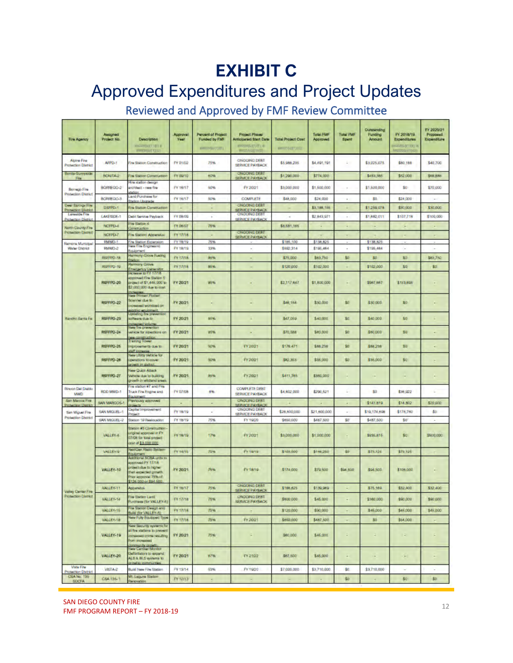# **EXHIBIT C**

## Approved Expenditures and Project Updates

#### Reviewed and Approved by FMF Review Committee

| <b>Fire Agency</b>                               | Assigned<br>Project No. | <b>Description</b><br>semeter that                                                                                                                       | Approval<br>Year | <b>Percent of Project</b><br><b>Funded by FMF</b><br>people (1)(E) | <b>Project Phase/</b><br><b>Anticipated Start Date</b><br><b>Bill Biltones</b><br>BottManage | <b>Total Project Cost</b><br><b>BERTICI'VALU</b> | <b>Total FMF</b><br>Approved | <b>Total FMF</b><br>Spent | Outstanding<br>Funding<br>Amount | FY 2018/19<br><b>Expanditures</b><br>eutropic litera<br><b>MICCEAL (MAD)</b> | FY 2020/21<br>Proposed<br>Expenditure |
|--------------------------------------------------|-------------------------|----------------------------------------------------------------------------------------------------------------------------------------------------------|------------------|--------------------------------------------------------------------|----------------------------------------------------------------------------------------------|--------------------------------------------------|------------------------------|---------------------------|----------------------------------|------------------------------------------------------------------------------|---------------------------------------|
| Altima Fire<br><b>Protection District</b>        | AFPD-1                  | Fire Station Construction                                                                                                                                | FY 01/02         | 75%                                                                | ONGGING DEBT<br><b>SERVICE PAYBACK</b>                                                       | \$5,988,235                                      | \$4,491,191                  | a,                        | \$3,025,075                      | \$80,188                                                                     | \$40,700                              |
| Bonia-Sumysise<br><b>FEM</b>                     | BONTA-2                 | <b>The Station Construction</b>                                                                                                                          | FY 09/10         | 60%                                                                | <b>ONCOING DEBT</b><br>SERVICE PAYBACK                                                       | \$1,290,000                                      | \$774,000                    |                           | \$453,385                        | \$52,000                                                                     | \$68,886                              |
| <b>Bonego Fire</b><br><b>Protection District</b> | BORREGO-2               | fire station das on<br>inchillect - maw fire<br>dates                                                                                                    | FY 16/17         | 50%                                                                | FY 20/21                                                                                     | \$3,000,000                                      | \$1,500,000                  |                           | \$1,500,000                      | 30                                                                           | \$70,000                              |
|                                                  | BORREDO-3               | Land Punchase for<br><b>Batico Uberiede</b>                                                                                                              | FY 16/17         | 50%                                                                | <b>COMPLETE</b>                                                                              | \$48,000                                         | \$24,000                     | ٠                         | 30                               | \$24,000                                                                     | $\sim$                                |
| Dear Springs Fire<br><b>Protection Diveriot</b>  | DSFFD-T                 | <b>Fry Station Construction</b>                                                                                                                          |                  |                                                                    | <b>ONCOING DEBT</b><br>SERVICE PAYBACK                                                       |                                                  | \$3,188,155                  |                           | \$1,259,078                      | \$30,000                                                                     | \$30,000                              |
| <b>Lawarde Fre</b><br>Protection District        | LAKESDE-1               | Debt Service Paytrack                                                                                                                                    | FY 08/09         | ÷.                                                                 | <b>ONCOING DEBT</b><br><b>SERVICE PAYBACK</b>                                                | ÷                                                | 12,843,971                   | $\sim$                    | \$1,682,011                      | \$107,718                                                                    | \$100,000                             |
| North County Fire                                | NCFPD-4                 | the Shatican 4<br>mahadim                                                                                                                                | FY DE/OT         | <b>75%</b>                                                         |                                                                                              | \$8,581,185                                      | ٠                            | ۰                         | ٠                                | ٠                                                                            | ٠                                     |
| <b>Protection District</b>                       | NCFPD-7                 | <b>Fre Sacon/ Accentor</b>                                                                                                                               | FY17/18.         | ×                                                                  | <b>ONGOING DEBT</b><br>SERVICE PAYBACK                                                       |                                                  |                              | $\sim$                    |                                  | $\overline{\phantom{a}}$                                                     | ٠                                     |
| Remonse Municipal                                | RMWD-1                  | Fire Station Expansion                                                                                                                                   | FY 18/19         | 75%                                                                |                                                                                              | \$185,100                                        | \$138,825                    |                           | \$138,825                        |                                                                              |                                       |
| Water District                                   | RMWD-2                  | ww fire Engineerd<br><b>Imerican</b>                                                                                                                     | FY 18/19         | 33%                                                                | $\sim$                                                                                       | \$602,314                                        | \$195,464                    | ۰                         | \$195,484                        | $\sim$                                                                       |                                       |
|                                                  | RSFFFD-18               | Harmony Grove Fueing<br><b>Stations</b>                                                                                                                  | FY 17/18         | 85%                                                                |                                                                                              | \$75,000                                         | \$63,750                     | SO <sub>1</sub>           | 80                               | 80                                                                           | \$63,750                              |
|                                                  | RSFFFD-19               | <b>Harmony Grove</b>                                                                                                                                     | FY1708           | 85%                                                                | ٠                                                                                            | \$120,000                                        | \$102,000                    | ٠                         | \$102,000                        | 80                                                                           | \$0.                                  |
|                                                  | RSFFFD-20               | tremarkly Generator.<br><b>Increase to FY 17/18</b><br>pproved Fine Station &<br>of 000,344,12 to topic<br>\$2,000,000 due to cost.<br><b>Cheatrics</b>  | FY 20/21         | 85%                                                                | ٠                                                                                            | \$2,117,647                                      | \$1,800,000                  | $\overline{\phantom{a}}$  | \$967,667                        | \$153,695                                                                    | ٠                                     |
|                                                  | <b>RSFFFD-22</b>        | New Printer/ Plotter<br>canner due to<br><b>ING DEGREEMENT DIRECTOR</b><br>dating advertment.                                                            | FY 20/21         | $\overline{\phantom{a}}$                                           | ٠                                                                                            | \$48,154                                         | \$30,000                     | \$0                       | \$30,000                         | 80                                                                           | ۰                                     |
| Randro-Banta Fe                                  | RSFFFD-23               | <b>Jockfing The prevention</b><br><b>CONTRIGUES</b><br><b>Negotic Volume</b>                                                                             | FY 20(21)        | 85%                                                                |                                                                                              | \$47,059                                         | \$40,000                     | 80                        | \$40,000                         | SO <sub>1</sub>                                                              |                                       |
|                                                  | RSFFFD-24               | New fire prevention<br>whicle for inpactions on<br>W construction                                                                                        | FY 20/21         | 85%                                                                | ٠                                                                                            | \$70,588                                         | \$80,000                     | \$0                       | \$80,000                         | 80                                                                           |                                       |
|                                                  | RSFFFD-25               | <b>Training Tower</b><br>di e.p. chemikongr<br><b>buff</b> increases                                                                                     | FY 20/21         | 50%                                                                | FY20/21                                                                                      | \$178,471                                        | \$88,238                     | \$0                       | \$88,238                         | 30                                                                           | ٠                                     |
|                                                  | RSFFFD-26               | <b>New Littiny Vehicle for</b><br>perations to cover<br><b>CWITH IT (SSTIC)</b>                                                                          | FY 20/21         | 50%                                                                | FY 20/21                                                                                     | \$82,353                                         | \$35,000                     | \$0                       | \$35,000                         | 80                                                                           |                                       |
|                                                  | RSFFPD-27               | <b>New Quick Attack</b><br>Article due to building<br>growth in wildland areas.<br>its station #7 and Fine                                               | FY 20/21         | 85%                                                                | FY.20/21                                                                                     | \$411,765                                        | \$350,000                    | $\overline{\phantom{a}}$  |                                  |                                                                              | ٠                                     |
| Ringen Del Diablo<br>MWD.<br>San Marcos Fire     | RDD MWD-1               | Truck Fire Engine and<br><b>Poulomeri</b>                                                                                                                | FY 07/08         | 8%                                                                 | COMPLETE DEBT<br><b>SERVICE PAYEACK</b><br><b>ONGOING DEBT</b>                               | \$4,802,000                                      | \$290,521                    | L.                        | S0                               | \$36,922                                                                     |                                       |
| <b>Perhapsen District</b>                        | SAN MARCOS-1            | twicialy approved<br>creatis.                                                                                                                            |                  | ٠                                                                  | <b>SERVICE PAYBACK</b>                                                                       |                                                  |                              | ٠                         | \$141,819                        | \$14,802                                                                     | \$20,000                              |
| San Miguel Fire                                  | SAN MIGLIEL-1           | Capital Improvement<br><b>TOMC!</b>                                                                                                                      | FY 18/19         | $\sim$                                                             | ONGOING DEBT<br>SERVICE PAYBACK                                                              | \$28,800,000                                     | \$21,600,000                 | ×.                        | \$19,174,898                     | \$176,760                                                                    | \$b                                   |
| <b>Protection Division</b>                       | SAN MICLIFL 2           | Station 19 Realizables                                                                                                                                   | FY 18/19         | 75V)                                                               | FY 19/20                                                                                     | \$850,000                                        | 5487,500                     | \$0                       | \$487,500                        | 'Sti                                                                         |                                       |
|                                                  | <b>VALLEY-6</b>         | Station #3 Construction<br>onginal approval in FY<br>07/08 for lotal project<br>and d \$3,000,000                                                        | FY 18/19         | 17%                                                                | FY 2021                                                                                      | \$3,000,000                                      | \$1,000,000                  |                           | \$935,815                        | 80                                                                           | \$500,000                             |
|                                                  | <b>VALLEY-9</b>         | <b>And Cier: Fouter System</b><br><b>ASSESSED</b>                                                                                                        | FY 14/15         | <b>75%</b>                                                         | Fy 18/19                                                                                     | \$103,000                                        | \$148,250                    | \$0                       | 875,125                          | \$73,125                                                                     |                                       |
|                                                  | VALLEY-10               | <b>Additional SCBA critis in</b><br>pproved PY 17/18<br>project due to higher<br>han expected growth.<br>Price appeareal 75% of<br>\$126,000 or \$94,500 | FY 20/21         | 75%                                                                | Fr 18/19                                                                                     | \$174,000                                        | 379,500                      | \$94,500                  | \$94,500                         | \$105,000                                                                    | ٠                                     |
| Valley Certain Fire                              | <b>VALLEY 11</b>        | Apperatrs                                                                                                                                                | FY 16/17         | 75%                                                                | <b>ONGOING DEBT</b><br>SERVICE PAYBACK                                                       | \$188,625                                        | \$130,089                    |                           | \$75,169                         | \$32,400                                                                     | \$32,400                              |
| <b>Profection District</b>                       | VALLEY-14               | Fire Station Land<br>Purchase (for VALLEY-6)                                                                                                             | FY 17/18         | 75%                                                                | ONCIONG DEBT<br><b>SERVICE PAYBACK</b>                                                       | \$800,000                                        | \$45,000                     |                           | \$360,000                        | \$90,000                                                                     | \$00,000                              |
|                                                  | VALLEY-15               | Fire Station Design and<br>Juici (for VALLEY-5)                                                                                                          | FY 17/18.        | 市地                                                                 |                                                                                              | \$120,000                                        | \$90,000                     |                           | \$45,000                         | \$45,000                                                                     | \$45,000                              |
|                                                  | VALLEY-18               | New Fully Equipped Type                                                                                                                                  | FV17/18.         | 75%                                                                | FY 20/21                                                                                     | \$850,000                                        | \$487,500                    |                           | 80                               | \$54,000                                                                     |                                       |
|                                                  | VALLEY-19               | New Security systems for<br>il fire stations to prevent<br>prifuser entra beasen<br><b>Sacaaron</b> mot                                                  | FY 20/21         | 75%                                                                | ٠                                                                                            | \$60,000                                         | \$45,000                     | ×.                        | ٠                                | -                                                                            | ٠                                     |
|                                                  | VALLEY-20               | compute agett.<br>New Cardiac Monitor<br>brecow di establistica<br>of enally 2.18 2.3A<br>callo compressive                                              | FY 20/21         | <b>H7%</b>                                                         | FY 21/22                                                                                     | \$67,500                                         | \$45,000                     | $\sim$                    | $\sim$                           | $\sim$                                                                       | $\sim$                                |
| Vista Fine<br><b>Protection Division</b>         | VISTA-2                 | Build New Fire Station                                                                                                                                   | FY 13/14         | 55%                                                                | FY 19/20                                                                                     | \$7,000,000                                      | \$3,710,000                  | \$0.                      | \$3,710,000                      | $\sim$                                                                       | ×.                                    |
| CSA No. 135<br>SDOFA                             | CSA 135-1               | Mt. Laguna Station<br>Renovation                                                                                                                         | FY 12/13         |                                                                    |                                                                                              |                                                  |                              | \$0                       |                                  | 80                                                                           | \$0.                                  |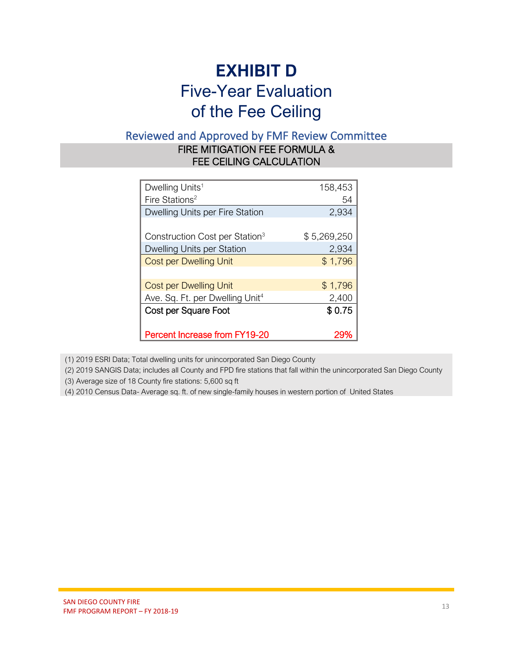## **EXHIBIT D** Five-Year Evaluation of the Fee Ceiling

#### Reviewed and Approved by FMF Review Committee

#### FIRE MITIGATION FEE FORMULA & FEE CEILING CALCULATION

| Dwelling Units <sup>1</sup>                 | 158,453     |
|---------------------------------------------|-------------|
| Fire Stations <sup>2</sup>                  | 54          |
| Dwelling Units per Fire Station             | 2,934       |
|                                             |             |
| Construction Cost per Station <sup>3</sup>  | \$5,269,250 |
| Dwelling Units per Station                  | 2,934       |
| <b>Cost per Dwelling Unit</b>               | \$1,796     |
|                                             |             |
| <b>Cost per Dwelling Unit</b>               | \$1,796     |
| Ave. Sq. Ft. per Dwelling Unit <sup>4</sup> | 2,400       |
| Cost per Square Foot                        | \$0.75      |
|                                             |             |
| <b>Percent Increase from FY19-20</b>        | 299         |

(1) 2019 ESRI Data; Total dwelling units for unincorporated San Diego County

(2) 2019 SANGIS Data; includes all County and FPD fire stations that fall within the unincorporated San Diego County

(3) Average size of 18 County fire stations: 5,600 sq ft

(4) 2010 Census Data- Average sq. ft. of new single-family houses in western portion of United States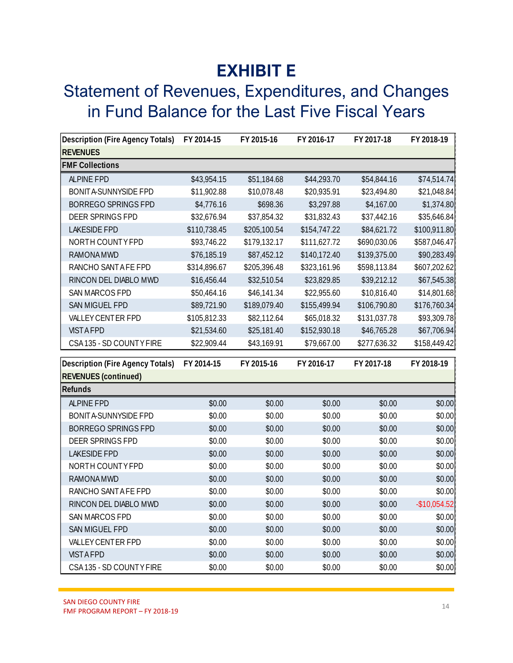## **EXHIBIT E**

## Statement of Revenues, Expenditures, and Changes in Fund Balance for the Last Five Fiscal Years

| Description (Fire Agency Totals)       | FY 2014-15   | FY 2015-16   | FY 2016-17   | FY 2017-18   | FY 2018-19    |
|----------------------------------------|--------------|--------------|--------------|--------------|---------------|
| <b>REVENUES</b>                        |              |              |              |              |               |
| <b>FMF Collections</b>                 |              |              |              |              |               |
| <b>ALPINE FPD</b>                      | \$43,954.15  | \$51,184.68  | \$44,293.70  | \$54,844.16  | \$74,514.74   |
| BONITA-SUNNYSIDE FPD                   | \$11,902.88  | \$10,078.48  | \$20,935.91  | \$23,494.80  | \$21,048.84   |
| <b>BORREGO SPRINGS FPD</b>             | \$4,776.16   | \$698.36     | \$3,297.88   | \$4,167.00   | \$1,374.80    |
| DEER SPRINGS FPD                       | \$32,676.94  | \$37,854.32  | \$31,832.43  | \$37,442.16  | \$35,646.84   |
| <b>LAKESIDE FPD</b>                    | \$110,738.45 | \$205,100.54 | \$154,747.22 | \$84,621.72  | \$100,911.80  |
| NORTH COUNTY FPD                       | \$93,746.22  | \$179,132.17 | \$111,627.72 | \$690,030.06 | \$587,046.47  |
| <b>RAMONA MWD</b>                      | \$76,185.19  | \$87,452.12  | \$140,172.40 | \$139,375.00 | \$90,283.49   |
| RANCHO SANTAFE FPD                     | \$314,896.67 | \$205,396.48 | \$323,161.96 | \$598,113.84 | \$607,202.62  |
| RINCON DEL DIABLO MWD                  | \$16,456.44  | \$32,510.54  | \$23,829.85  | \$39,212.12  | \$67,545.38   |
| SAN MARCOS FPD                         | \$50,464.16  | \$46,141.34  | \$22,955.60  | \$10,816.40  | \$14,801.68   |
| SAN MIGUEL FPD                         | \$89,721.90  | \$189,079.40 | \$155,499.94 | \$106,790.80 | \$176,760.34  |
| VALLEY CENTER FPD                      | \$105,812.33 | \$82,112.64  | \$65,018.32  | \$131,037.78 | \$93,309.78   |
| <b>VISTAFPD</b>                        | \$21,534.60  | \$25,181.40  | \$152,930.18 | \$46,765.28  | \$67,706.94   |
| CSA135 - SD COUNTY FIRE                | \$22,909.44  | \$43,169.91  | \$79,667.00  | \$277,636.32 | \$158,449.42  |
|                                        |              |              |              |              |               |
|                                        | FY 2014-15   | FY 2015-16   |              |              |               |
| Description (Fire Agency Totals)       |              |              | FY 2016-17   | FY 2017-18   | FY 2018-19    |
| <b>REVENUES</b> (continued)<br>Refunds |              |              |              |              |               |
| <b>ALPINE FPD</b>                      | \$0.00       | \$0.00       | \$0.00       | \$0.00       | \$0.00        |
| <b>BONITA-SUNNYSIDE FPD</b>            | \$0.00       | \$0.00       | \$0.00       | \$0.00       | \$0.00        |
| <b>BORREGO SPRINGS FPD</b>             | \$0.00       | \$0.00       | \$0.00       | \$0.00       | \$0.00        |
| DEER SPRINGS FPD                       | \$0.00       | \$0.00       | \$0.00       | \$0.00       | \$0.00        |
| <b>LAKESIDE FPD</b>                    | \$0.00       | \$0.00       | \$0.00       | \$0.00       | \$0.00        |
| NORTH COUNTY FPD                       | \$0.00       | \$0.00       | \$0.00       | \$0.00       | \$0.00        |
| <b>RAMONA MWD</b>                      | \$0.00       | \$0.00       | \$0.00       | \$0.00       | \$0.00        |
| RANCHO SANTAFE FPD                     | \$0.00       | \$0.00       | \$0.00       | \$0.00       | \$0.00        |
| RINCON DEL DIABLO MWD                  | \$0.00       | \$0.00       | \$0.00       | \$0.00       | $-$10,054.52$ |
| SAN MARCOS FPD                         | \$0.00       | \$0.00       | \$0.00       | \$0.00       | \$0.00        |
| SAN MIGUEL FPD                         | \$0.00       | \$0.00       | \$0.00       | \$0.00       | \$0.00        |
| VALLEY CENTER FPD                      | \$0.00       | \$0.00       | \$0.00       | \$0.00       | \$0.00        |
| <b>VISTAFPD</b>                        | \$0.00       | \$0.00       | \$0.00       | \$0.00       | \$0.00        |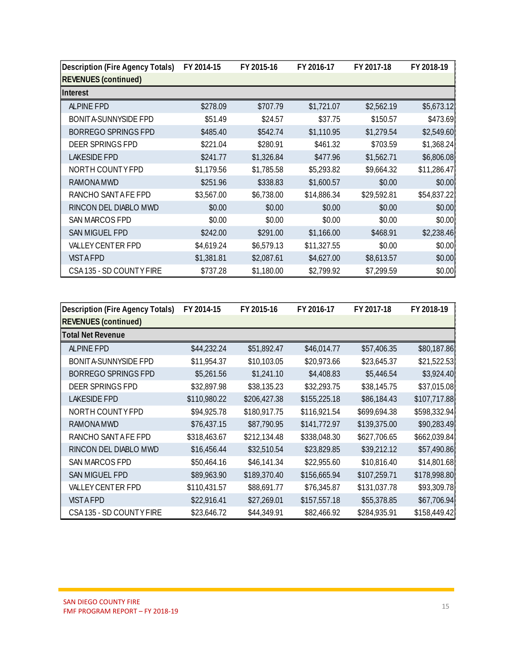| Description (Fire Agency Totals) | FY 2014-15 | FY 2015-16 | FY 2016-17  | FY 2017-18  | FY 2018-19  |
|----------------------------------|------------|------------|-------------|-------------|-------------|
| <b>REVENUES</b> (continued)      |            |            |             |             |             |
| Interest                         |            |            |             |             |             |
| <b>ALPINE FPD</b>                | \$278.09   | \$707.79   | \$1,721.07  | \$2,562.19  | \$5,673.12  |
| <b>BONITA-SUNNYSIDE FPD</b>      | \$51.49    | \$24.57    | \$37.75     | \$150.57    | \$473.69    |
| <b>BORREGO SPRINGS FPD</b>       | \$485.40   | \$542.74   | \$1,110.95  | \$1,279.54  | \$2,549.60  |
| DEER SPRINGS FPD                 | \$221.04   | \$280.91   | \$461.32    | \$703.59    | \$1,368.24  |
| <b>LAKESIDE FPD</b>              | \$241.77   | \$1,326.84 | \$477.96    | \$1,562.71  | \$6,806.08  |
| NORTH COUNTY FPD                 | \$1,179.56 | \$1,785.58 | \$5,293.82  | \$9,664.32  | \$11,286.47 |
| <b>RAMONA MWD</b>                | \$251.96   | \$338.83   | \$1,600.57  | \$0.00      | \$0.00      |
| RANCHO SANTAFE FPD               | \$3,567.00 | \$6,738.00 | \$14,886.34 | \$29,592.81 | \$54,837.22 |
| RINCON DEL DIABLO MWD            | \$0.00     | \$0.00     | \$0.00      | \$0.00      | \$0.00      |
| SAN MARCOS FPD                   | \$0.00     | \$0.00     | \$0.00      | \$0.00      | \$0.00      |
| SAN MIGUEL FPD                   | \$242.00   | \$291.00   | \$1,166.00  | \$468.91    | \$2,238.46  |
| VALLEY CENTER FPD                | \$4,619.24 | \$6,579.13 | \$11,327.55 | \$0.00      | \$0.00      |
| <b>VISTAFPD</b>                  | \$1,381.81 | \$2,087.61 | \$4,627.00  | \$8,613.57  | \$0.00      |
| CSA135 - SD COUNTY FIRE          | \$737.28   | \$1,180.00 | \$2,799.92  | \$7,299.59  | \$0.00      |

| <b>REVENUES</b> (continued)      |              |              | FY 2016-17   | FY 2017-18   | FY 2018-19   |
|----------------------------------|--------------|--------------|--------------|--------------|--------------|
|                                  |              |              |              |              |              |
| Interest                         |              |              |              |              |              |
| <b>ALPINE FPD</b>                | \$278.09     | \$707.79     | \$1,721.07   | \$2,562.19   | \$5,673.12   |
| <b>BONITA-SUNNYSIDE FPD</b>      | \$51.49      | \$24.57      | \$37.75      | \$150.57     | \$473.69     |
| <b>BORREGO SPRINGS FPD</b>       | \$485.40     | \$542.74     | \$1,110.95   | \$1,279.54   | \$2,549.60   |
| DEER SPRINGS FPD                 | \$221.04     | \$280.91     | \$461.32     | \$703.59     | \$1,368.24   |
| <b>LAKESIDE FPD</b>              | \$241.77     | \$1,326.84   | \$477.96     | \$1,562.71   | \$6,806.08   |
| NORTH COUNTYFPD                  | \$1,179.56   | \$1,785.58   | \$5,293.82   | \$9,664.32   | \$11,286.47  |
| <b>RAMONA MWD</b>                | \$251.96     | \$338.83     | \$1,600.57   | \$0.00       | \$0.00       |
| RANCHO SANTAFE FPD               | \$3,567.00   | \$6,738.00   | \$14,886.34  | \$29,592.81  | \$54,837.22  |
| RINCON DEL DIABLO MWD            | \$0.00       | \$0.00       | \$0.00       | \$0.00       | \$0.00       |
| SAN MARCOS FPD                   | \$0.00       | \$0.00       | \$0.00       | \$0.00       | \$0.00       |
| SAN MIGUEL FPD                   | \$242.00     | \$291.00     | \$1,166.00   | \$468.91     | \$2,238.46   |
| VALLEY CENTER FPD                | \$4,619.24   | \$6,579.13   | \$11,327.55  | \$0.00       | \$0.00       |
| <b>VISTAFPD</b>                  | \$1,381.81   | \$2,087.61   | \$4,627.00   | \$8,613.57   | \$0.00       |
| CSA135 - SD COUNTY FIRE          | \$737.28     | \$1,180.00   | \$2,799.92   | \$7,299.59   | \$0.00       |
|                                  |              |              |              |              |              |
| Description (Fire Agency Totals) | FY 2014-15   | FY 2015-16   | FY 2016-17   | FY 2017-18   | FY 2018-19   |
| <b>REVENUES</b> (continued)      |              |              |              |              |              |
|                                  |              |              |              |              |              |
|                                  |              |              |              |              |              |
| Total Net Revenue                |              |              |              |              |              |
| <b>ALPINE FPD</b>                | \$44,232.24  | \$51,892.47  | \$46,014.77  | \$57,406.35  | \$80,187.86  |
| BONIT A SUNNYSIDE FPD            | \$11,954.37  | \$10,103.05  | \$20,973.66  | \$23,645.37  | \$21,522.53  |
| <b>BORREGO SPRINGS FPD</b>       | \$5,261.56   | \$1,241.10   | \$4,408.83   | \$5,446.54   | \$3,924.40   |
| DEER SPRINGS FPD                 | \$32,897.98  | \$38,135.23  | \$32,293.75  | \$38,145.75  | \$37,015.08  |
| <b>LAKESIDE FPD</b>              | \$110,980.22 | \$206,427.38 | \$155,225.18 | \$86,184.43  | \$107,717.88 |
| NORTH COUNTY FPD                 | \$94,925.78  | \$180,917.75 | \$116,921.54 | \$699,694.38 | \$598,332.94 |
| <b>RAMONA MWD</b>                | \$76,437.15  | \$87,790.95  | \$141,772.97 | \$139,375.00 | \$90,283.49  |
| RANCHO SANT A FE FPD             | \$318,463.67 | \$212,134.48 | \$338,048.30 | \$627,706.65 | \$662,039.84 |
| RINCON DEL DIABLO MWD            | \$16,456.44  | \$32,510.54  | \$23,829.85  | \$39,212.12  | \$57,490.86  |
| SAN MARCOS FPD                   | \$50,464.16  | \$46,141.34  | \$22,955.60  | \$10,816.40  | \$14,801.68  |
| SAN MIGUEL FPD                   | \$89,963.90  | \$189,370.40 | \$156,665.94 | \$107,259.71 | \$178,998.80 |
| VALLEY CENTER FPD                | \$110,431.57 | \$88,691.77  | \$76,345.87  | \$131,037.78 | \$93,309.78  |
| <b>VISTAFPD</b>                  | \$22,916.41  | \$27,269.01  | \$157,557.18 | \$55,378.85  | \$67,706.94  |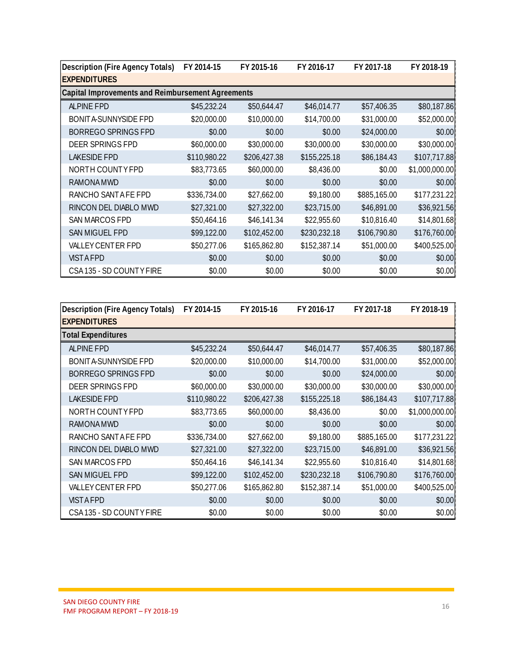| Description (Fire Agency Totals)                  | FY 2014-15   | FY 2015-16   | FY 2016-17   | FY 2017-18   | FY 2018-19     |
|---------------------------------------------------|--------------|--------------|--------------|--------------|----------------|
| <b>EXPENDITURES</b>                               |              |              |              |              |                |
| Capital Improvements and Reimbursement Agreements |              |              |              |              |                |
| <b>ALPINE FPD</b>                                 | \$45,232.24  | \$50,644.47  | \$46,014.77  | \$57,406.35  | \$80,187.86    |
| BONITA-SUNNYSIDE FPD                              | \$20,000.00  | \$10,000.00  | \$14,700.00  | \$31,000.00  | \$52,000.00    |
| <b>BORREGO SPRINGS FPD</b>                        | \$0.00       | \$0.00       | \$0.00       | \$24,000.00  | \$0.00         |
| DEER SPRINGS FPD                                  | \$60,000.00  | \$30,000.00  | \$30,000.00  | \$30,000.00  | \$30,000.00    |
| <b>LAKESIDE FPD</b>                               | \$110,980.22 | \$206,427.38 | \$155,225.18 | \$86,184.43  | \$107,717.88   |
| NORTH COUNTY FPD                                  | \$83,773.65  | \$60,000.00  | \$8,436.00   | \$0.00       | \$1,000,000.00 |
| <b>RAMONA MWD</b>                                 | \$0.00       | \$0.00       | \$0.00       | \$0.00       | \$0.00         |
| RANCHO SANTAFE FPD                                | \$336,734.00 | \$27,662.00  | \$9,180.00   | \$885,165.00 | \$177,231.22   |
| RINCON DEL DIABLO MWD                             | \$27,321.00  | \$27,322.00  | \$23,715.00  | \$46,891.00  | \$36,921.56    |
| SAN MARCOS FPD                                    | \$50,464.16  | \$46,141.34  | \$22,955.60  | \$10,816.40  | \$14,801.68    |
| SAN MIGUEL FPD                                    | \$99,122.00  | \$102,452.00 | \$230,232.18 | \$106,790.80 | \$176,760.00   |
| VALLEY CENTER FPD                                 | \$50,277.06  | \$165,862.80 | \$152,387.14 | \$51,000.00  | \$400,525.00   |
| <b>VISTAFPD</b>                                   | \$0.00       | \$0.00       | \$0.00       | \$0.00       | \$0.00         |
| CSA135 - SD COUNTY FIRE                           | \$0.00       | \$0.00       | \$0.00       | \$0.00       | \$0.00         |

| Capital Improvements and Reimbursement Agreements |                                                                                                                                                                    |              |              |                       |
|---------------------------------------------------|--------------------------------------------------------------------------------------------------------------------------------------------------------------------|--------------|--------------|-----------------------|
|                                                   |                                                                                                                                                                    |              |              |                       |
|                                                   |                                                                                                                                                                    |              |              |                       |
| \$45,232.24                                       | \$50,644.47                                                                                                                                                        | \$46,014.77  | \$57,406.35  | \$80,187.86           |
| \$20,000.00                                       | \$10,000.00                                                                                                                                                        | \$14,700.00  | \$31,000.00  | \$52,000.00           |
| \$0.00                                            | \$0.00                                                                                                                                                             | \$0.00       | \$24,000.00  | \$0.00                |
| \$60,000.00                                       | \$30,000.00                                                                                                                                                        | \$30,000.00  | \$30,000.00  | \$30,000.00           |
| \$110,980.22                                      | \$206,427.38                                                                                                                                                       | \$155,225.18 | \$86,184.43  | \$107,717.88          |
|                                                   | \$60,000.00                                                                                                                                                        | \$8,436.00   | \$0.00       | \$1,000,000.00        |
| \$0.00                                            | \$0.00                                                                                                                                                             | \$0.00       | \$0.00       | \$0.00                |
|                                                   | \$27,662.00                                                                                                                                                        | \$9,180.00   | \$885,165.00 | \$177,231.22          |
|                                                   | \$27,322.00                                                                                                                                                        | \$23,715.00  | \$46,891.00  | \$36,921.56           |
|                                                   | \$46,141.34                                                                                                                                                        | \$22,955.60  | \$10,816.40  | \$14,801.68           |
|                                                   | \$102,452.00                                                                                                                                                       | \$230,232.18 | \$106,790.80 | \$176,760.00          |
|                                                   | \$165,862.80                                                                                                                                                       | \$152,387.14 | \$51,000.00  | \$400,525.00          |
| \$0.00                                            | \$0.00                                                                                                                                                             | \$0.00       | \$0.00       | \$0.00                |
| \$0.00                                            | \$0.00                                                                                                                                                             | \$0.00       | \$0.00       | \$0.00                |
|                                                   |                                                                                                                                                                    |              |              |                       |
|                                                   | FY 2015-16                                                                                                                                                         | FY 2016-17   | FY 2017-18   | FY 2018-19            |
|                                                   |                                                                                                                                                                    |              |              |                       |
|                                                   |                                                                                                                                                                    |              |              |                       |
|                                                   | \$50,644.47                                                                                                                                                        | \$46,014.77  | \$57,406.35  | \$80,187.86           |
|                                                   | \$10,000.00                                                                                                                                                        | \$14,700.00  | \$31,000.00  | \$52,000.00           |
| \$0.00                                            | \$0.00                                                                                                                                                             | \$0.00       | \$24,000.00  | \$0.00                |
|                                                   | \$30,000.00                                                                                                                                                        | \$30,000.00  | \$30,000.00  | \$30,000.00           |
|                                                   | \$206,427.38                                                                                                                                                       | \$155,225.18 | \$86,184.43  | \$107,717.88          |
| \$83,773.65                                       | \$60,000.00                                                                                                                                                        | \$8,436.00   |              |                       |
|                                                   |                                                                                                                                                                    |              | \$0.00       | \$1,000,000.00        |
| \$0.00                                            | \$0.00                                                                                                                                                             | \$0.00       | \$0.00       | \$0.00                |
| \$336,734.00                                      | \$27,662.00                                                                                                                                                        | \$9,180.00   | \$885,165.00 | \$177,231.22          |
| \$27,321.00                                       | \$27,322.00                                                                                                                                                        | \$23,715.00  | \$46,891.00  |                       |
| \$50,464.16                                       | \$46,141.34                                                                                                                                                        | \$22,955.60  | \$10,816.40  | \$14,801.68           |
| \$99,122.00                                       | \$102,452.00                                                                                                                                                       | \$230,232.18 | \$106,790.80 | \$176,760.00          |
| \$50,277.06                                       | \$165,862.80                                                                                                                                                       | \$152,387.14 | \$51,000.00  | \$400,525.00          |
| \$0.00                                            | \$0.00                                                                                                                                                             | \$0.00       | \$0.00       | \$36,921.56<br>\$0.00 |
|                                                   | \$83,773.65<br>\$336,734.00<br>\$27,321.00<br>\$50,464.16<br>\$99,122.00<br>\$50,277.06<br>FY 2014-15<br>\$45,232.24<br>\$20,000.00<br>\$60,000.00<br>\$110,980.22 |              |              |                       |